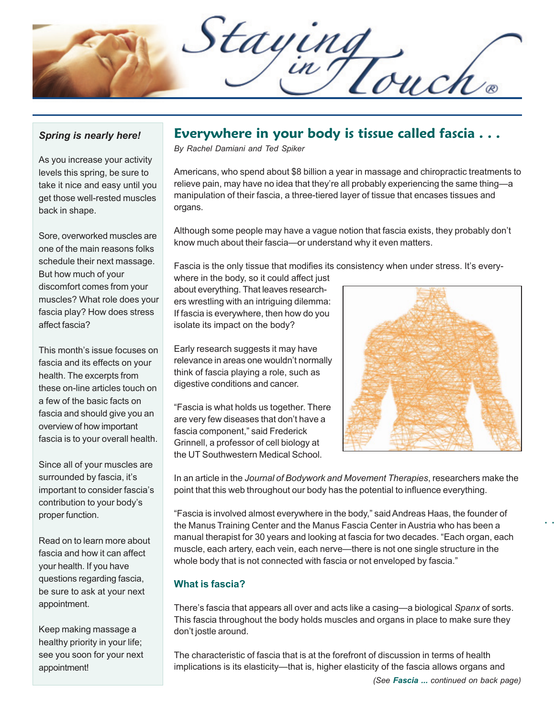Staying

### *Spring is nearly here!*

As you increase your activity levels this spring, be sure to take it nice and easy until you get those well-rested muscles back in shape.

Sore, overworked muscles are one of the main reasons folks schedule their next massage. But how much of your discomfort comes from your muscles? What role does your fascia play? How does stress affect fascia?

This month's issue focuses on fascia and its effects on your health. The excerpts from these on-line articles touch on a few of the basic facts on fascia and should give you an overview of how important fascia is to your overall health.

Since all of your muscles are surrounded by fascia, it's important to consider fascia's contribution to your body's proper function.

Read on to learn more about fascia and how it can affect your health. If you have questions regarding fascia, be sure to ask at your next appointment.

Keep making massage a healthy priority in your life; see you soon for your next appointment!

# **Everywhere in your body is tissue called fascia . . .**

*By Rachel Damiani and Ted Spiker*

Americans, who spend about \$8 billion a year in massage and chiropractic treatments to relieve pain, may have no idea that they're all probably experiencing the same thing—a manipulation of their fascia, a three-tiered layer of tissue that encases tissues and organs.

Although some people may have a vague notion that fascia exists, they probably don't know much about their fascia—or understand why it even matters.

Fascia is the only tissue that modifies its consistency when under stress. It's every-

where in the body, so it could affect just about everything. That leaves researchers wrestling with an intriguing dilemma: If fascia is everywhere, then how do you isolate its impact on the body?

Early research suggests it may have relevance in areas one wouldn't normally think of fascia playing a role, such as digestive conditions and cancer.

"Fascia is what holds us together. There are very few diseases that don't have a fascia component," said Frederick Grinnell, a professor of cell biology at the UT Southwestern Medical School.



In an article in the *Journal of Bodywork and Movement Therapies*, researchers make the point that this web throughout our body has the potential to influence everything.

"Fascia is involved almost everywhere in the body," said Andreas Haas, the founder of the Manus Training Center and the Manus Fascia Center in Austria who has been a manual therapist for 30 years and looking at fascia for two decades. "Each organ, each muscle, each artery, each vein, each nerve—there is not one single structure in the whole body that is not connected with fascia or not enveloped by fascia."

## **What is fascia?**

There's fascia that appears all over and acts like a casing—a biological *Spanx* of sorts. This fascia throughout the body holds muscles and organs in place to make sure they don't jostle around.

The characteristic of fascia that is at the forefront of discussion in terms of health implications is its elasticity—that is, higher elasticity of the fascia allows organs and ○ ○